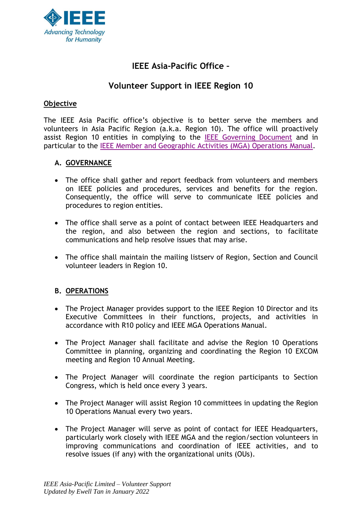

# **IEEE Asia-Pacific Office –**

# **Volunteer Support in IEEE Region 10**

#### **Objective**

The IEEE Asia Pacific office's objective is to better serve the members and volunteers in Asia Pacific Region (a.k.a. Region 10). The office will proactively assist Region 10 entities in complying to the [IEEE Governing Document](http://www.ieee.org/about/corporate/governance/index.html) and in particular to the [IEEE Member and Geographic Activities \(MGA\) Operations Manual.](https://mga.ieee.org/board-committees/operations-manual)

#### **A. GOVERNANCE**

- The office shall gather and report feedback from volunteers and members on IEEE policies and procedures, services and benefits for the region. Consequently, the office will serve to communicate IEEE policies and procedures to region entities.
- The office shall serve as a point of contact between IEEE Headquarters and the region, and also between the region and sections, to facilitate communications and help resolve issues that may arise.
- The office shall maintain the mailing listserv of Region, Section and Council volunteer leaders in Region 10.

## **B. OPERATIONS**

- The Project Manager provides support to the IEEE Region 10 Director and its Executive Committees in their functions, projects, and activities in accordance with R10 policy and IEEE MGA Operations Manual.
- The Project Manager shall facilitate and advise the Region 10 Operations Committee in planning, organizing and coordinating the Region 10 EXCOM meeting and Region 10 Annual Meeting.
- The Project Manager will coordinate the region participants to Section Congress, which is held once every 3 years.
- The Project Manager will assist Region 10 committees in updating the Region 10 Operations Manual every two years.
- The Project Manager will serve as point of contact for IEEE Headquarters, particularly work closely with IEEE MGA and the region/section volunteers in improving communications and coordination of IEEE activities, and to resolve issues (if any) with the organizational units (OUs).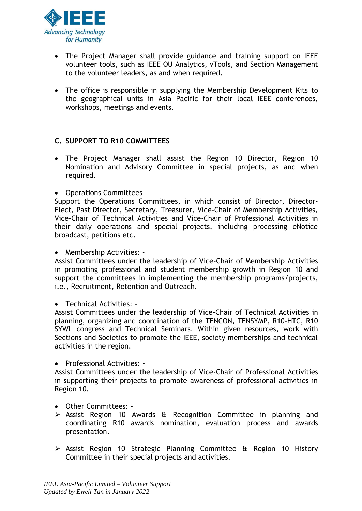

- The Project Manager shall provide guidance and training support on IEEE volunteer tools, such as IEEE OU Analytics, vTools, and Section Management to the volunteer leaders, as and when required.
- The office is responsible in supplying the Membership Development Kits to the geographical units in Asia Pacific for their local IEEE conferences, workshops, meetings and events.

#### **C. SUPPORT TO R10 COMMITTEES**

- The Project Manager shall assist the Region 10 Director, Region 10 Nomination and Advisory Committee in special projects, as and when required.
- Operations Committees

Support the Operations Committees, in which consist of Director, Director-Elect, Past Director, Secretary, Treasurer, Vice-Chair of Membership Activities, Vice-Chair of Technical Activities and Vice-Chair of Professional Activities in their daily operations and special projects, including processing eNotice broadcast, petitions etc.

• Membership Activities: -

Assist Committees under the leadership of Vice-Chair of Membership Activities in promoting professional and student membership growth in Region 10 and support the committees in implementing the membership programs/projects, i.e., Recruitment, Retention and Outreach.

• Technical Activities: -

Assist Committees under the leadership of Vice-Chair of Technical Activities in planning, organizing and coordination of the TENCON, TENSYMP, R10-HTC, R10 SYWL congress and Technical Seminars. Within given resources, work with Sections and Societies to promote the IEEE, society memberships and technical activities in the region.

• Professional Activities: -

Assist Committees under the leadership of Vice-Chair of Professional Activities in supporting their projects to promote awareness of professional activities in Region 10.

- Other Committees: -
- ➢ Assist Region 10 Awards & Recognition Committee in planning and coordinating R10 awards nomination, evaluation process and awards presentation.
- ➢ Assist Region 10 Strategic Planning Committee & Region 10 History Committee in their special projects and activities.